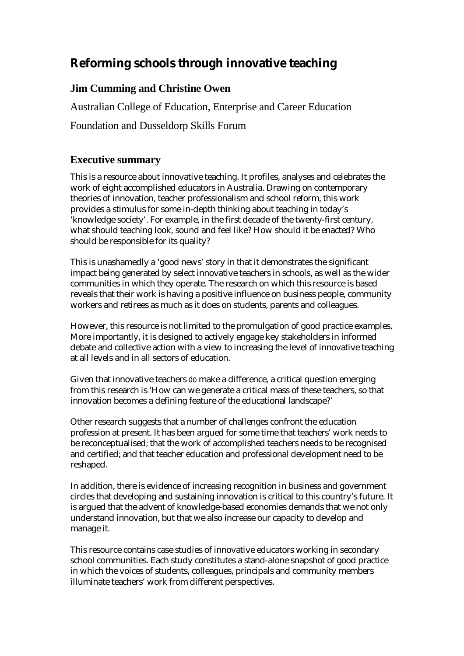# **Reforming schools through innovative teaching**

## **Jim Cumming and Christine Owen**

Australian College of Education, Enterprise and Career Education

Foundation and Dusseldorp Skills Forum

### **Executive summary**

This is a resource about innovative teaching. It profiles, analyses and celebrates the work of eight accomplished educators in Australia. Drawing on contemporary theories of innovation, teacher professionalism and school reform, this work provides a stimulus for some in-depth thinking about teaching in today's 'knowledge society'. For example, in the first decade of the twenty-first century, what should teaching look, sound and feel like? How should it be enacted? Who should be responsible for its quality?

This is unashamedly a 'good news' story in that it demonstrates the significant impact being generated by select innovative teachers in schools, as well as the wider communities in which they operate. The research on which this resource is based reveals that their work is having a positive influence on business people, community workers and retirees as much as it does on students, parents and colleagues.

However, this resource is not limited to the promulgation of good practice examples. More importantly, it is designed to actively engage key stakeholders in informed debate and collective action with a view to increasing the level of innovative teaching at all levels and in all sectors of education.

Given that innovative teachers *do* make a difference, a critical question emerging from this research is 'How can we generate a critical mass of these teachers, so that innovation becomes a defining feature of the educational landscape?'

Other research suggests that a number of challenges confront the education profession at present. It has been argued for some time that teachers' work needs to be reconceptualised; that the work of accomplished teachers needs to be recognised and certified; and that teacher education and professional development need to be reshaped.

In addition, there is evidence of increasing recognition in business and government circles that developing and sustaining innovation is critical to this country's future. It is argued that the advent of knowledge-based economies demands that we not only understand innovation, but that we also increase our capacity to develop and manage it.

This resource contains case studies of innovative educators working in secondary school communities. Each study constitutes a stand-alone snapshot of good practice in which the voices of students, colleagues, principals and community members illuminate teachers' work from different perspectives.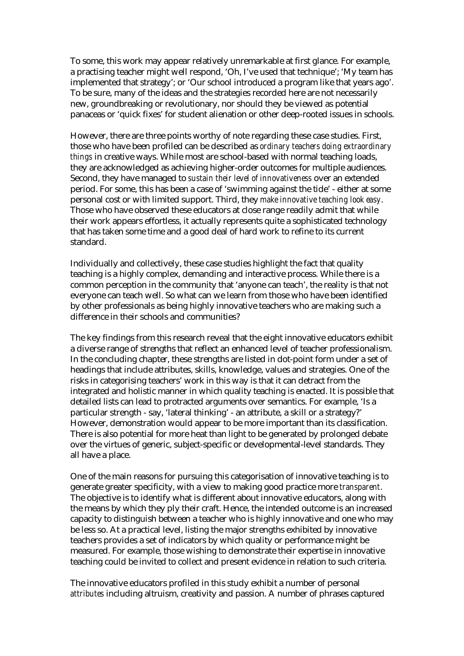To some, this work may appear relatively unremarkable at first glance. For example, a practising teacher might well respond, 'Oh, I've used that technique'; 'My team has implemented that strategy'; or 'Our school introduced a program like that years ago'. To be sure, many of the ideas and the strategies recorded here are not necessarily new, groundbreaking or revolutionary, nor should they be viewed as potential panaceas or 'quick fixes' for student alienation or other deep-rooted issues in schools.

However, there are three points worthy of note regarding these case studies. First, those who have been profiled can be described as *ordinary teachers doing extraordinary things* in creative ways. While most are school-based with normal teaching loads, they are acknowledged as achieving higher-order outcomes for multiple audiences. Second, they have managed to *sustain their level of innovativeness* over an extended period. For some, this has been a case of 'swimming against the tide' - either at some personal cost or with limited support. Third, they *make innovative teaching look easy*. Those who have observed these educators at close range readily admit that while their work appears effortless, it actually represents quite a sophisticated technology that has taken some time and a good deal of hard work to refine to its current standard.

Individually and collectively, these case studies highlight the fact that quality teaching is a highly complex, demanding and interactive process. While there is a common perception in the community that 'anyone can teach', the reality is that not everyone can teach well. So what can we learn from those who have been identified by other professionals as being highly innovative teachers who are making such a difference in their schools and communities?

The key findings from this research reveal that the eight innovative educators exhibit a diverse range of strengths that reflect an enhanced level of teacher professionalism. In the concluding chapter, these strengths are listed in dot-point form under a set of headings that include attributes, skills, knowledge, values and strategies. One of the risks in categorising teachers' work in this way is that it can detract from the integrated and holistic manner in which quality teaching is enacted. It is possible that detailed lists can lead to protracted arguments over semantics. For example, 'Is a particular strength - say, 'lateral thinking' - an attribute, a skill or a strategy?' However, demonstration would appear to be more important than its classification. There is also potential for more heat than light to be generated by prolonged debate over the virtues of generic, subject-specific or developmental-level standards. They all have a place.

One of the main reasons for pursuing this categorisation of innovative teaching is to generate greater specificity, with a view to making good practice more *transparent*. The objective is to identify what is different about innovative educators, along with the means by which they ply their craft. Hence, the intended outcome is an increased capacity to distinguish between a teacher who is highly innovative and one who may be less so. At a practical level, listing the major strengths exhibited by innovative teachers provides a set of indicators by which quality or performance might be measured. For example, those wishing to demonstrate their expertise in innovative teaching could be invited to collect and present evidence in relation to such criteria.

The innovative educators profiled in this study exhibit a number of personal *attributes* including altruism, creativity and passion. A number of phrases captured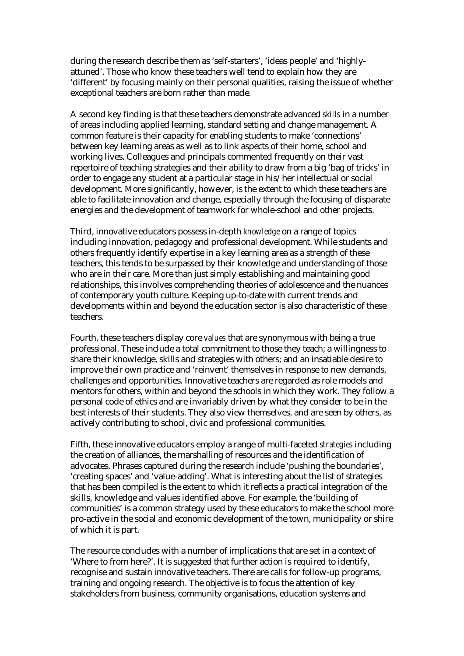during the research describe them as 'self-starters', 'ideas people' and 'highlyattuned'. Those who know these teachers well tend to explain how they are 'different' by focusing mainly on their personal qualities, raising the issue of whether exceptional teachers are born rather than made.

A second key finding is that these teachers demonstrate advanced *skills* in a number of areas including applied learning, standard setting and change management. A common feature is their capacity for enabling students to make 'connections' between key learning areas as well as to link aspects of their home, school and working lives. Colleagues and principals commented frequently on their vast repertoire of teaching strategies and their ability to draw from a big 'bag of tricks' in order to engage any student at a particular stage in his/her intellectual or social development. More significantly, however, is the extent to which these teachers are able to facilitate innovation and change, especially through the focusing of disparate energies and the development of teamwork for whole-school and other projects.

Third, innovative educators possess in-depth *knowledge* on a range of topics including innovation, pedagogy and professional development. While students and others frequently identify expertise in a key learning area as a strength of these teachers, this tends to be surpassed by their knowledge and understanding of those who are in their care. More than just simply establishing and maintaining good relationships, this involves comprehending theories of adolescence and the nuances of contemporary youth culture. Keeping up-to-date with current trends and developments within and beyond the education sector is also characteristic of these teachers.

Fourth, these teachers display core *values* that are synonymous with being a true professional. These include a total commitment to those they teach; a willingness to share their knowledge, skills and strategies with others; and an insatiable desire to improve their own practice and 'reinvent' themselves in response to new demands, challenges and opportunities. Innovative teachers are regarded as role models and mentors for others, within and beyond the schools in which they work. They follow a personal code of ethics and are invariably driven by what they consider to be in the best interests of their students. They also view themselves, and are seen by others, as actively contributing to school, civic and professional communities.

Fifth, these innovative educators employ a range of multi-faceted *strategies* including the creation of alliances, the marshalling of resources and the identification of advocates. Phrases captured during the research include 'pushing the boundaries', 'creating spaces' and 'value-adding'. What is interesting about the list of strategies that has been compiled is the extent to which it reflects a practical integration of the skills, knowledge and values identified above. For example, the 'building of communities' is a common strategy used by these educators to make the school more pro-active in the social and economic development of the town, municipality or shire of which it is part.

The resource concludes with a number of implications that are set in a context of 'Where to from here?'. It is suggested that further action is required to identify, recognise and sustain innovative teachers. There are calls for follow-up programs, training and ongoing research. The objective is to focus the attention of key stakeholders from business, community organisations, education systems and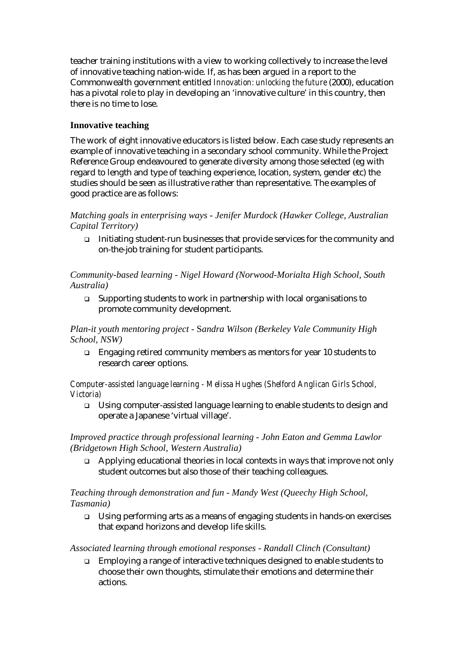teacher training institutions with a view to working collectively to increase the level of innovative teaching nation-wide. If, as has been argued in a report to the Commonwealth government entitled *Innovation: unlocking the future* (2000), education has a pivotal role to play in developing an 'innovative culture' in this country, then there is no time to lose.

#### **Innovative teaching**

The work of eight innovative educators is listed below. Each case study represents an example of innovative teaching in a secondary school community. While the Project Reference Group endeavoured to generate diversity among those selected (eg with regard to length and type of teaching experience, location, system, gender etc) the studies should be seen as illustrative rather than representative. The examples of good practice are as follows:

#### *Matching goals in enterprising ways - Jenifer Murdock (Hawker College, Australian Capital Territory)*

! Initiating student-run businesses that provide services for the community and on-the-job training for student participants.

*Community-based learning - Nigel Howard (Norwood-Morialta High School, South Australia)* 

□ Supporting students to work in partnership with local organisations to promote community development.

*Plan-it youth mentoring project -* S*andra Wilson (Berkeley Vale Community High School, NSW)* 

□ Engaging retired community members as mentors for year 10 students to research career options.

*Computer-assisted language learning - Melissa Hughes (Shelford Anglican Girls School, Victoria)* 

! Using computer-assisted language learning to enable students to design and operate a Japanese 'virtual village'.

*Improved practice through professional learning - John Eaton and Gemma Lawlor (Bridgetown High School, Western Australia)* 

 $\Box$  Applying educational theories in local contexts in ways that improve not only student outcomes but also those of their teaching colleagues.

*Teaching through demonstration and fun - Mandy West (Queechy High School, Tasmania)* 

- ! Using performing arts as a means of engaging students in hands-on exercises that expand horizons and develop life skills.
- *Associated learning through emotional responses Randall Clinch (Consultant)* 
	- ! Employing a range of interactive techniques designed to enable students to choose their own thoughts, stimulate their emotions and determine their actions.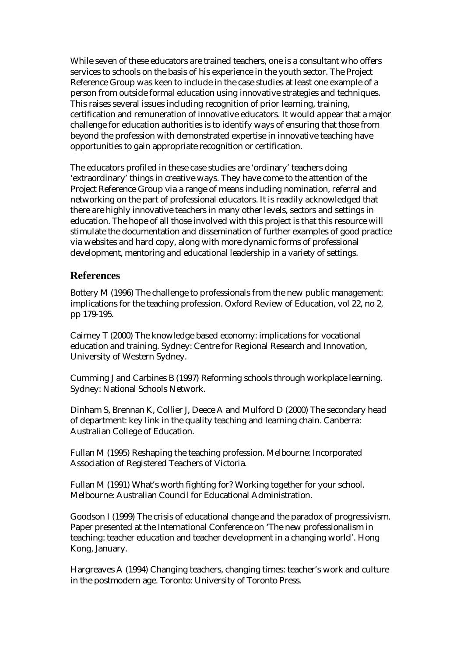While seven of these educators are trained teachers, one is a consultant who offers services to schools on the basis of his experience in the youth sector. The Project Reference Group was keen to include in the case studies at least one example of a person from outside formal education using innovative strategies and techniques. This raises several issues including recognition of prior learning, training, certification and remuneration of innovative educators. It would appear that a major challenge for education authorities is to identify ways of ensuring that those from beyond the profession with demonstrated expertise in innovative teaching have opportunities to gain appropriate recognition or certification.

The educators profiled in these case studies are 'ordinary' teachers doing 'extraordinary' things in creative ways. They have come to the attention of the Project Reference Group via a range of means including nomination, referral and networking on the part of professional educators. It is readily acknowledged that there are highly innovative teachers in many other levels, sectors and settings in education. The hope of all those involved with this project is that this resource will stimulate the documentation and dissemination of further examples of good practice via websites and hard copy, along with more dynamic forms of professional development, mentoring and educational leadership in a variety of settings.

#### **References**

Bottery M (1996) The challenge to professionals from the new public management: implications for the teaching profession. Oxford Review of Education, vol 22, no 2, pp 179-195.

Cairney T (2000) The knowledge based economy: implications for vocational education and training. Sydney: Centre for Regional Research and Innovation, University of Western Sydney.

Cumming J and Carbines B (1997) Reforming schools through workplace learning. Sydney: National Schools Network.

Dinham S, Brennan K, Collier J, Deece A and Mulford D (2000) The secondary head of department: key link in the quality teaching and learning chain. Canberra: Australian College of Education.

Fullan M (1995) Reshaping the teaching profession. Melbourne: Incorporated Association of Registered Teachers of Victoria.

Fullan M (1991) What's worth fighting for? Working together for your school. Melbourne: Australian Council for Educational Administration.

Goodson I (1999) The crisis of educational change and the paradox of progressivism. Paper presented at the International Conference on 'The new professionalism in teaching: teacher education and teacher development in a changing world'. Hong Kong, January.

Hargreaves A (1994) Changing teachers, changing times: teacher's work and culture in the postmodern age. Toronto: University of Toronto Press.